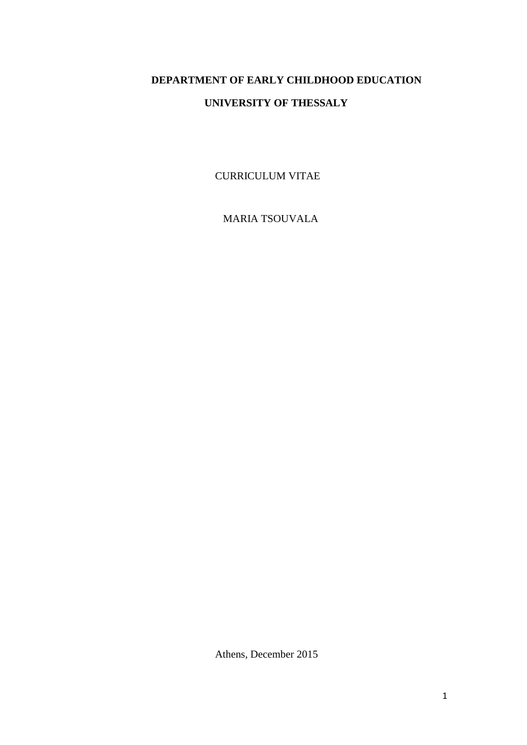# **DEPARTMENT OF EARLY CHILDHOOD EDUCATION UNIVERSITY OF THESSALY**

CURRICULUM VITAE

MARIA TSOUVALA

Athens, December 2015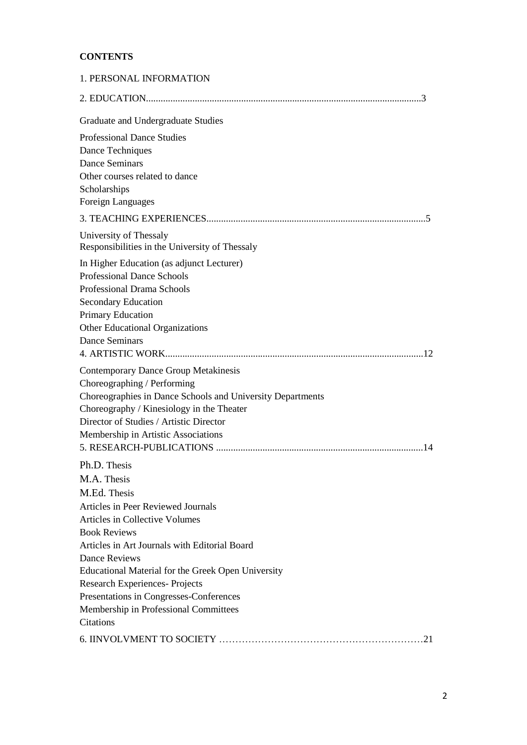# **CONTENTS**

| 1. PERSONAL INFORMATION                                                                                                                                                                                                                                                 |
|-------------------------------------------------------------------------------------------------------------------------------------------------------------------------------------------------------------------------------------------------------------------------|
|                                                                                                                                                                                                                                                                         |
| Graduate and Undergraduate Studies                                                                                                                                                                                                                                      |
| <b>Professional Dance Studies</b>                                                                                                                                                                                                                                       |
| Dance Techniques                                                                                                                                                                                                                                                        |
| <b>Dance Seminars</b>                                                                                                                                                                                                                                                   |
| Other courses related to dance                                                                                                                                                                                                                                          |
| Scholarships                                                                                                                                                                                                                                                            |
| Foreign Languages                                                                                                                                                                                                                                                       |
|                                                                                                                                                                                                                                                                         |
| University of Thessaly<br>Responsibilities in the University of Thessaly                                                                                                                                                                                                |
| In Higher Education (as adjunct Lecturer)                                                                                                                                                                                                                               |
| <b>Professional Dance Schools</b>                                                                                                                                                                                                                                       |
| Professional Drama Schools                                                                                                                                                                                                                                              |
| <b>Secondary Education</b>                                                                                                                                                                                                                                              |
| Primary Education                                                                                                                                                                                                                                                       |
| Other Educational Organizations                                                                                                                                                                                                                                         |
| <b>Dance Seminars</b>                                                                                                                                                                                                                                                   |
|                                                                                                                                                                                                                                                                         |
| <b>Contemporary Dance Group Metakinesis</b><br>Choreographing / Performing<br>Choreographies in Dance Schools and University Departments<br>Choreography / Kinesiology in the Theater<br>Director of Studies / Artistic Director<br>Membership in Artistic Associations |
| Ph.D. Thesis                                                                                                                                                                                                                                                            |
| M.A. Thesis                                                                                                                                                                                                                                                             |
| M.Ed. Thesis                                                                                                                                                                                                                                                            |
| Articles in Peer Reviewed Journals                                                                                                                                                                                                                                      |
| Articles in Collective Volumes                                                                                                                                                                                                                                          |
| <b>Book Reviews</b>                                                                                                                                                                                                                                                     |
| Articles in Art Journals with Editorial Board                                                                                                                                                                                                                           |
| <b>Dance Reviews</b>                                                                                                                                                                                                                                                    |
| Educational Material for the Greek Open University                                                                                                                                                                                                                      |
| <b>Research Experiences-Projects</b>                                                                                                                                                                                                                                    |
| Presentations in Congresses-Conferences                                                                                                                                                                                                                                 |
| Membership in Professional Committees                                                                                                                                                                                                                                   |
| <b>Citations</b>                                                                                                                                                                                                                                                        |
|                                                                                                                                                                                                                                                                         |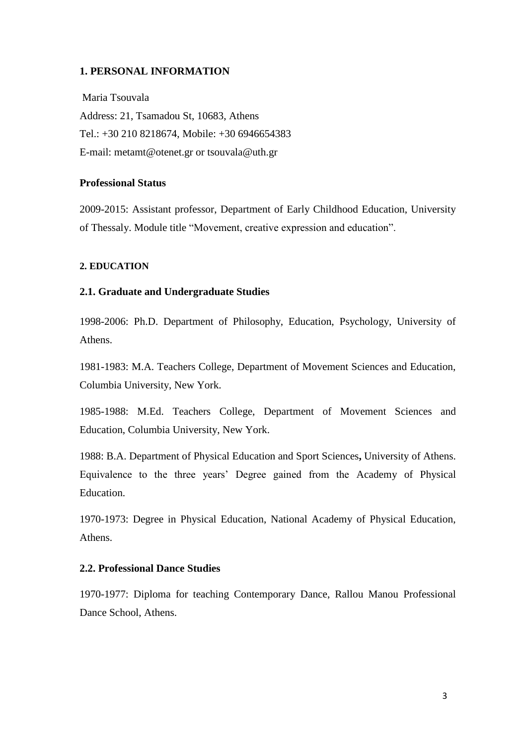## **1. PERSONAL INFORMATION**

Maria Tsouvala Address: 21, Tsamadou St, 10683, Athens Tel.: +30 210 8218674, Mobile: +30 6946654383 E-mail: [metamt@otenet.gr](mailto:metamt@otenet.gr) or tsouvala@uth.gr

# **Professional Status**

2009-2015: Assistant professor, Department of Early Childhood Education, University of Thessaly. Module title "Movement, creative expression and education".

## **2. EDUCATION**

#### **2.1. Graduate and Undergraduate Studies**

1998-2006: Ph.D. Department of Philosophy, Education, Psychology, University of Athens.

1981-1983: M.A. Teachers College, Department of Movement Sciences and Education, Columbia University, New York.

1985-1988: M.Ed. Teachers College, Department of Movement Sciences and Education, Columbia University, New York.

1988: B.A. Department of Physical Education and Sport Sciences**,** University of Athens. Equivalence to the three years' Degree gained from the Academy of Physical Education.

1970-1973: Degree in Physical Education, National Academy of Physical Education, Athens.

# **2.2. Professional Dance Studies**

1970-1977: Diploma for teaching Contemporary Dance, Rallou Manou Professional Dance School, Athens.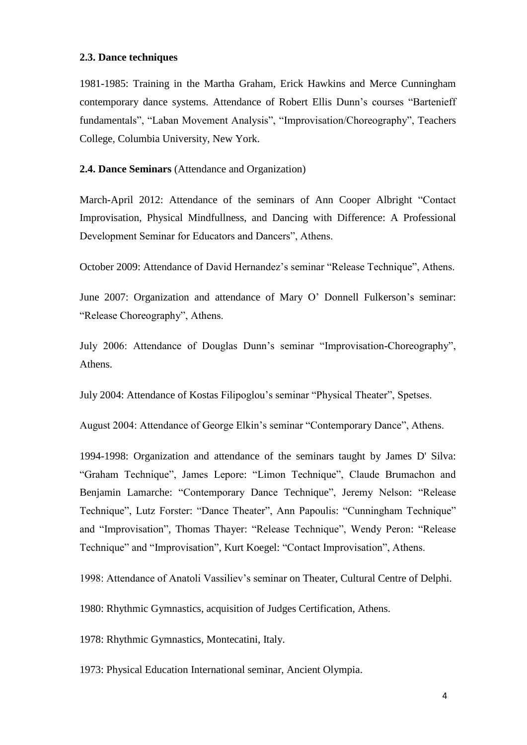# **2.3. Dance techniques**

1981-1985: Training in the Martha Graham, Erick Hawkins and Merce Cunningham contemporary dance systems. Attendance of Robert Ellis Dunn's courses "Bartenieff fundamentals", "Laban Movement Analysis", "Improvisation/Choreography", Teachers College, Columbia University, New York.

# **2.4. Dance Seminars** (Attendance and Organization)

March-April 2012: Attendance of the seminars of Ann Cooper Albright "Contact Improvisation, Physical Mindfullness, and Dancing with Difference: A Professional Development Seminar for Educators and Dancers", Athens.

October 2009: Attendance of David Hernandez's seminar "Release Technique", Athens.

June 2007: Organization and attendance of Mary O' Donnell Fulkerson's seminar: "Release Choreography", Athens.

July 2006: Attendance of Douglas Dunn's seminar "Improvisation-Choreography", Athens.

July 2004: Attendance of Kostas Filipoglou's seminar "Physical Theater", Spetses.

August 2004: Attendance of George Elkin's seminar "Contemporary Dance", Athens.

1994-1998: Organization and attendance of the seminars taught by James D' Silva: "Graham Technique", James Lepore: "Limon Technique", Claude Brumachon and Benjamin Lamarche: "Contemporary Dance Technique", Jeremy Nelson: "Release Technique", Lutz Forster: "Dance Theater", Ann Papoulis: "Cunningham Technique" and "Improvisation", Thomas Thayer: "Release Technique", Wendy Peron: "Release Technique" and "Improvisation", Kurt Koegel: "Contact Improvisation", Athens.

1998: Attendance of Anatoli Vassiliev's seminar on Theater, Cultural Centre of Delphi.

1980: Rhythmic Gymnastics, acquisition of Judges Certification, Athens.

1978: Rhythmic Gymnastics, Montecatini, Italy.

1973: Physical Education International seminar, Ancient Olympia.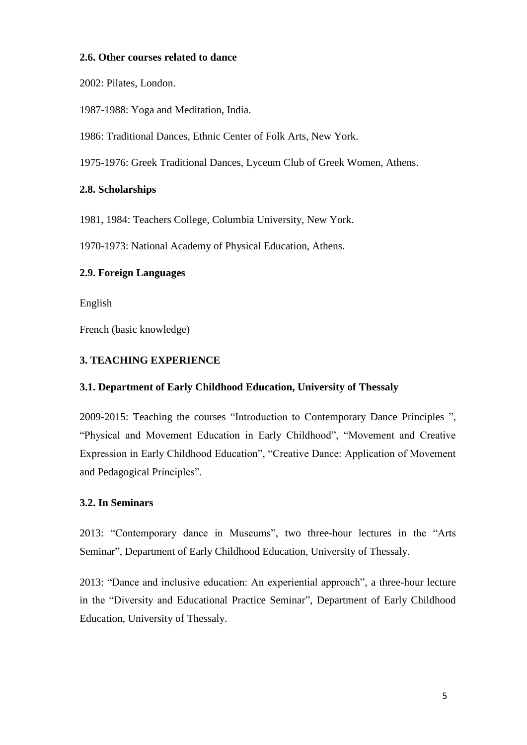# **2.6. Other courses related to dance**

2002: Pilates, London.

1987-1988: Yoga and Meditation, India.

1986: Traditional Dances, Ethnic Center of Folk Arts, New York.

1975-1976: Greek Traditional Dances, Lyceum Club of Greek Women, Athens.

# **2.8. Scholarships**

1981, 1984: Teachers College, Columbia University, New York.

1970-1973: National Academy of Physical Education, Athens.

# **2.9. Foreign Languages**

English

French (basic knowledge)

# **3. TEACHING EXPERIENCE**

# **3.1. Department of Early Childhood Education, University of Thessaly**

2009-2015: Teaching the courses "Introduction to Contemporary Dance Principles ", "Physical and Movement Education in Early Childhood", "Movement and Creative Expression in Early Childhood Education", "Creative Dance: Application of Movement and Pedagogical Principles".

# **3.2. In Seminars**

2013: "Contemporary dance in Museums", two three-hour lectures in the "Arts Seminar", Department of Early Childhood Education, University of Thessaly.

2013: "Dance and inclusive education: An experiential approach", a three-hour lecture in the "Diversity and Educational Practice Seminar", Department of Early Childhood Education, University of Thessaly.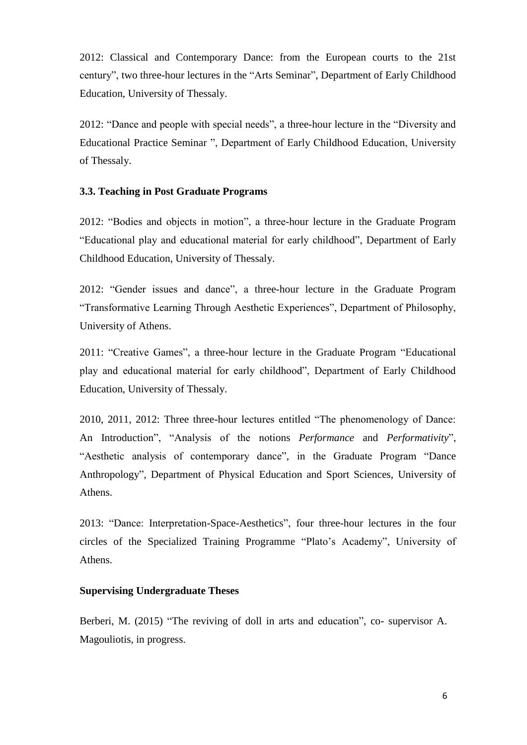2012: Classical and Contemporary Dance: from the European courts to the 21st century", two three-hour lectures in the "Arts Seminar", Department of Early Childhood Education, University of Thessaly.

2012: "Dance and people with special needs", a three-hour lecture in the "Diversity and Educational Practice Seminar ", Department of Early Childhood Education, University of Thessaly.

# **3.3. Teaching in Post Graduate Programs**

2012: "Bodies and objects in motion", a three-hour lecture in the Graduate Program "Educational play and educational material for early childhood", Department of Early Childhood Education, University of Thessaly.

2012: "Gender issues and dance", a three-hour lecture in the Graduate Program "Transformative Learning Through Aesthetic Experiences", Department of Philosophy, University of Athens.

2011: "Creative Games", a three-hour lecture in the Graduate Program "Educational play and educational material for early childhood", Department of Early Childhood Education, University of Thessaly.

2010, 2011, 2012: Three three-hour lectures entitled "The phenomenology of Dance: An Introduction", "Analysis of the notions *Performance* and *Performativity*", "Aesthetic analysis of contemporary dance", in the Graduate Program "Dance Anthropology", Department of Physical Education and Sport Sciences, University of Athens.

2013: "Dance: Interpretation-Space-Aesthetics", four three-hour lectures in the four circles of the Specialized Training Programme "Plato's Academy", University of Athens.

# **Supervising Undergraduate Theses**

Berberi, M. (2015) "The reviving of doll in arts and education", co- supervisor A. Magouliotis, in progress.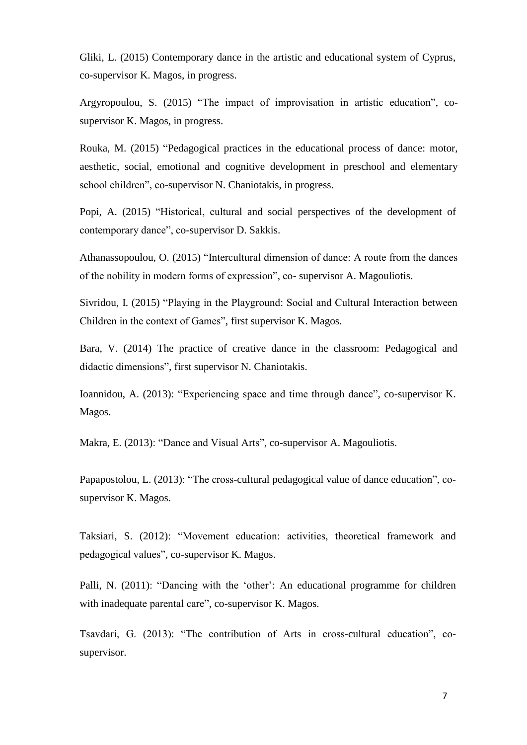Gliki, L. (2015) Contemporary dance in the artistic and educational system of Cyprus, co-supervisor K. Magos, in progress.

Argyropoulou, S. (2015) "The impact of improvisation in artistic education", cosupervisor K. Magos, in progress.

Rouka, M. (2015) "Pedagogical practices in the educational process of dance: motor, aesthetic, social, emotional and cognitive development in preschool and elementary school children", co-supervisor N. Chaniotakis, in progress.

Popi, A. (2015) "Historical, cultural and social perspectives of the development of contemporary dance", co-supervisor D. Sakkis.

Athanassopoulou, O. (2015) "Intercultural dimension of dance: A route from the dances of the nobility in modern forms of expression", co- supervisor A. Magouliotis.

Sivridou, I. (2015) "Playing in the Playground: Social and Cultural Interaction between Children in the context of Games", first supervisor K. Magos.

Bara, V. (2014) The practice of creative dance in the classroom: Pedagogical and didactic dimensions", first supervisor N. Chaniotakis.

Ioannidou, A. (2013): "Experiencing space and time through dance", co-supervisor K. Magos.

Makra, E. (2013): "Dance and Visual Arts", co-supervisor A. Magouliotis.

Papapostolou, L. (2013): "The cross-cultural pedagogical value of dance education", cosupervisor K. Magos.

Taksiari, S. (2012): "Movement education: activities, theoretical framework and pedagogical values", co-supervisor K. Magos.

Palli, N. (2011): "Dancing with the 'other': An educational programme for children with inadequate parental care", co-supervisor K. Magos.

Tsavdari, G. (2013): "The contribution of Arts in cross-cultural education", cosupervisor.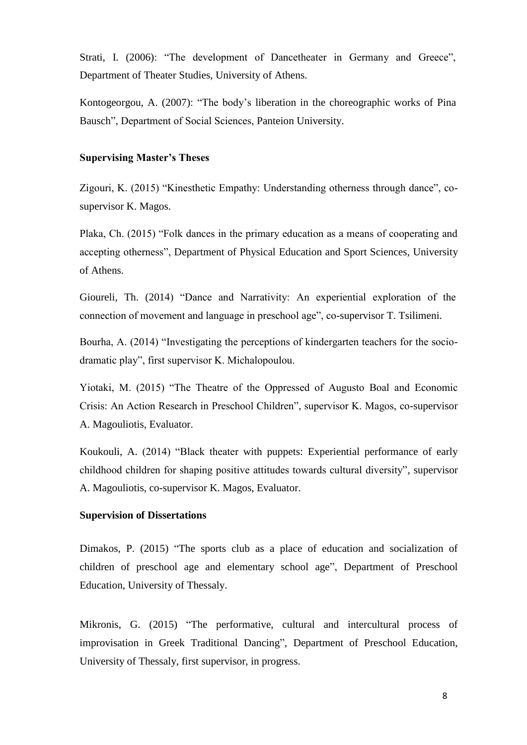Strati, I. (2006): "The development of Dancetheater in Germany and Greece", Department of Theater Studies, University of Athens.

Kontogeorgou, A. (2007): "The body's liberation in the choreographic works of Pina Bausch", Department of Social Sciences, Panteion University.

#### **Supervising Master's Theses**

Zigouri, K. (2015) "Kinesthetic Empathy: Understanding otherness through dance", cosupervisor K. Magos.

Plaka, Ch. (2015) "Folk dances in the primary education as a means of cooperating and accepting otherness", Department of Physical Education and Sport Sciences, University of Athens.

Gioureli, Th. (2014) "Dance and Narrativity: An experiential exploration of the connection of movement and language in preschool age", co-supervisor T. Tsilimeni.

Bourha, A. (2014) "Investigating the perceptions of kindergarten teachers for the sociodramatic play", first supervisor K. Μichalopoulou.

Yiotaki, M. (2015) "The Theatre of the Oppressed of Augusto Boal and Economic Crisis: An Action Research in Preschool Children", supervisor K. Magos, co-supervisor A. Magouliotis, Evaluator.

Koukouli, A. (2014) "Black theater with puppets: Experiential performance of early childhood children for shaping positive attitudes towards cultural diversity", supervisor A. Magouliotis, co-supervisor K. Magos, Evaluator.

# **Supervision of Dissertations**

Dimakos, P. (2015) "The sports club as a place of education and socialization of children of preschool age and elementary school age", Department of Preschool Education, University of Thessaly.

Mikronis, G. (2015) "The performative, cultural and intercultural process of improvisation in Greek Traditional Dancing", Department of Preschool Education, University of Thessaly, first supervisor, in progress.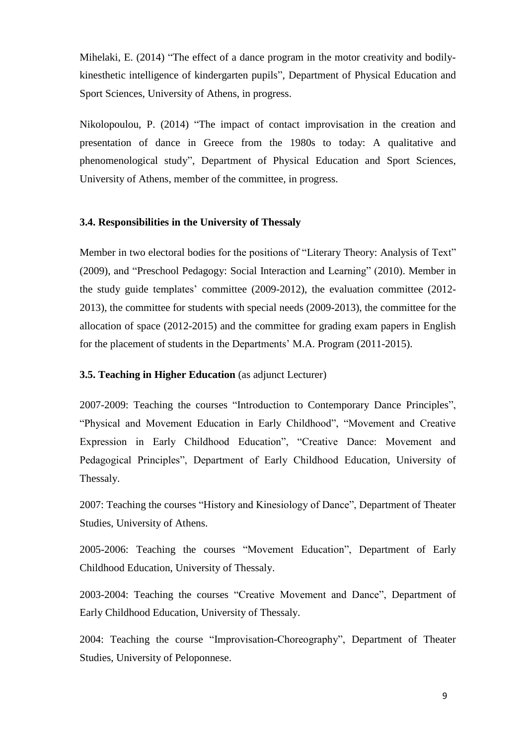Mihelaki, E. (2014) "The effect of a dance program in the motor creativity and bodilykinesthetic intelligence of kindergarten pupils", Department of Physical Education and Sport Sciences, University of Athens, in progress.

Nikolopoulou, P. (2014) "The impact of contact improvisation in the creation and presentation of dance in Greece from the 1980s to today: A qualitative and phenomenological study", Department of Physical Education and Sport Sciences, University of Athens, member of the committee, in progress.

## **3.4. Responsibilities in the University of Thessaly**

Member in two electoral bodies for the positions of "Literary Theory: Analysis of Text" (2009), and "Preschool Pedagogy: Social Interaction and Learning" (2010). Member in the study guide templates' committee (2009-2012), the evaluation committee (2012- 2013), the committee for students with special needs (2009-2013), the committee for the allocation of space (2012-2015) and the committee for grading exam papers in English for the placement of students in the Departments' M.A. Program (2011-2015).

## **3.5. Teaching in Higher Education** (as adjunct Lecturer)

2007-2009: Teaching the courses "Introduction to Contemporary Dance Principles", "Physical and Movement Education in Early Childhood", "Movement and Creative Expression in Early Childhood Education", "Creative Dance: Movement and Pedagogical Principles", Department of Early Childhood Education, University of Thessaly.

2007: Teaching the courses "History and Kinesiology of Dance", Department of Theater Studies, University of Athens.

2005-2006: Teaching the courses "Movement Education", Department of Early Childhood Education, University of Thessaly.

2003-2004: Teaching the courses "Creative Movement and Dance", Department of Early Childhood Education, University of Thessaly.

2004: Teaching the course "Improvisation-Choreography", Department of Theater Studies, University of Peloponnese.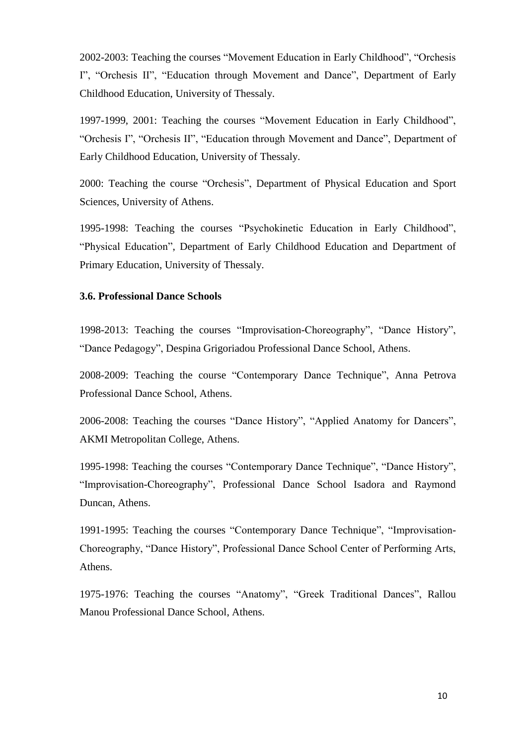2002-2003: Teaching the courses "Movement Education in Early Childhood", "Orchesis I", "Orchesis II", "Education through Movement and Dance", Department of Early Childhood Education, University of Thessaly.

1997-1999, 2001: Teaching the courses "Movement Education in Early Childhood", "Orchesis I", "Orchesis II", "Education through Movement and Dance", Department of Early Childhood Education, University of Thessaly.

2000: Teaching the course "Orchesis", Department of Physical Education and Sport Sciences, University of Athens.

1995-1998: Teaching the courses "Psychokinetic Education in Early Childhood", "Physical Education", Department of Early Childhood Education and Department of Primary Education, University of Thessaly.

## **3.6. Professional Dance Schools**

1998-2013: Teaching the courses "Improvisation-Choreography", "Dance History", "Dance Pedagogy", Despina Grigoriadou Professional Dance School, Athens.

2008-2009: Teaching the course "Contemporary Dance Technique", Anna Petrova Professional Dance School, Athens.

2006-2008: Teaching the courses "Dance History", "Applied Anatomy for Dancers", AKMI Metropolitan College, Athens.

1995-1998: Teaching the courses "Contemporary Dance Technique", "Dance History", "Improvisation-Choreography", Professional Dance School Isadora and Raymond Duncan, Athens.

1991-1995: Teaching the courses "Contemporary Dance Technique", "Improvisation-Choreography, "Dance History", Professional Dance School Center of Performing Arts, Athens.

1975-1976: Teaching the courses "Anatomy", "Greek Traditional Dances", Rallou Manou Professional Dance School, Athens.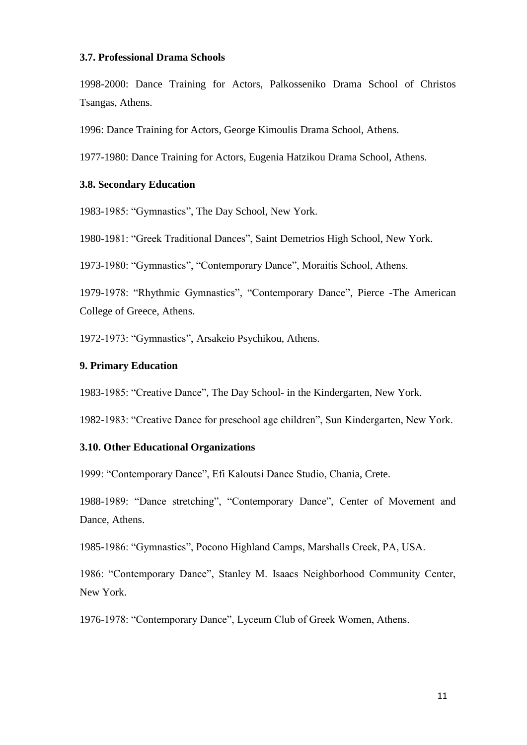#### **3.7. Professional Drama Schools**

1998-2000: Dance Training for Actors, Palkosseniko Drama School of Christos Tsangas, Athens.

1996: Dance Training for Actors, George Kimoulis Drama School, Athens.

1977-1980: Dance Training for Actors, Eugenia Hatzikou Drama School, Athens.

## **3.8. Secondary Education**

1983-1985: "Gymnastics", The Day School, New York.

1980-1981: "Greek Traditional Dances", Saint Demetrios High School, New York.

1973-1980: "Gymnastics", "Contemporary Dance", Moraitis School, Athens.

1979-1978: "Rhythmic Gymnastics", "Contemporary Dance", Pierce -The American College of Greece, Athens.

1972-1973: "Gymnastics", Arsakeio Psychikou, Athens.

# **9. Primary Education**

1983-1985: "Creative Dance", The Day School- in the Kindergarten, New York.

1982-1983: "Creative Dance for preschool age children", Sun Kindergarten, New York.

#### **3.10. Other Educational Organizations**

1999: "Contemporary Dance", Efi Kaloutsi Dance Studio, Chania, Crete.

1988-1989: "Dance stretching", "Contemporary Dance", Center of Movement and Dance, Athens.

1985-1986: "Gymnastics", Pocono Highland Camps, Marshalls Creek, PA, USA.

1986: "Contemporary Dance", Stanley M. Isaacs Neighborhood Community Center, New York.

1976-1978: "Contemporary Dance", Lyceum Club of Greek Women, Athens.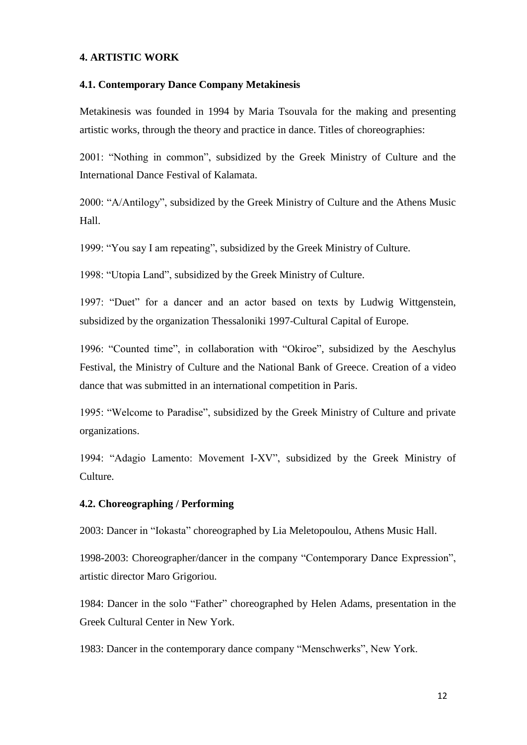## **4. ARTISTIC WORK**

#### **4.1. Contemporary Dance Company Metakinesis**

Metakinesis was founded in 1994 by Maria Tsouvala for the making and presenting artistic works, through the theory and practice in dance. Titles of choreographies:

2001: "Nothing in common", subsidized by the Greek Ministry of Culture and the International Dance Festival of Kalamata.

2000: "A/Antilogy", subsidized by the Greek Ministry of Culture and the Athens Music Hall.

1999: "You say I am repeating", subsidized by the Greek Ministry of Culture.

1998: "Utopia Land", subsidized by the Greek Ministry of Culture.

1997: "Duet" for a dancer and an actor based on texts by Ludwig Wittgenstein, subsidized by the organization Thessaloniki 1997-Cultural Capital of Europe.

1996: "Counted time", in collaboration with "Okiroe", subsidized by the Aeschylus Festival, the Ministry of Culture and the National Bank of Greece. Creation of a video dance that was submitted in an international competition in Paris.

1995: "Welcome to Paradise", subsidized by the Greek Ministry of Culture and private organizations.

1994: "Adagio Lamento: Movement I-XV", subsidized by the Greek Ministry of Culture.

#### **4.2. Choreographing / Performing**

2003: Dancer in "Iokasta" choreographed by Lia Meletopoulou, Athens Music Hall.

1998-2003: Choreographer/dancer in the company "Contemporary Dance Expression", artistic director Maro Grigoriou.

1984: Dancer in the solo "Father" choreographed by Helen Adams, presentation in the Greek Cultural Center in New York.

1983: Dancer in the contemporary dance company "Menschwerks", New York.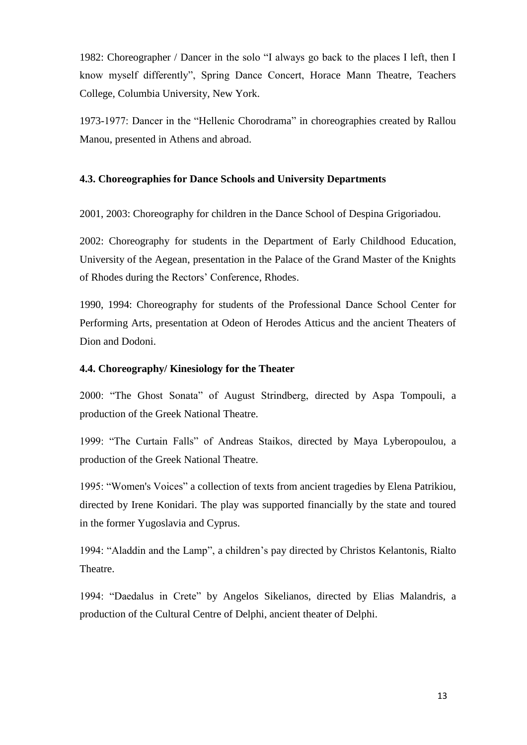1982: Choreographer / Dancer in the solo "I always go back to the places I left, then I know myself differently", Spring Dance Concert, Horace Mann Theatre, Teachers College, Columbia University, New York.

1973-1977: Dancer in the "Hellenic Chorodrama" in choreographies created by Rallou Manou, presented in Athens and abroad.

# **4.3. Choreographies for Dance Schools and University Departments**

2001, 2003: Choreography for children in the Dance School of Despina Grigoriadou.

2002: Choreography for students in the Department of Early Childhood Education, University of the Aegean, presentation in the Palace of the Grand Master of the Knights of Rhodes during the Rectors' Conference, Rhodes.

1990, 1994: Choreography for students of the Professional Dance School Center for Performing Arts, presentation at Odeon of Herodes Atticus and the ancient Theaters of Dion and Dodoni.

# **4.4. Choreography/ Kinesiology for the Theater**

2000: "The Ghost Sonata" of August Strindberg, directed by Aspa Tompouli, a production of the Greek National Theatre.

1999: "The Curtain Falls" of Andreas Staikos, directed by Maya Lyberopoulou, a production of the Greek National Theatre.

1995: "Women's Voices" a collection of texts from ancient tragedies by Elena Patrikiou, directed by Irene Konidari. The play was supported financially by the state and toured in the former Yugoslavia and Cyprus.

1994: "Aladdin and the Lamp", a children's pay directed by Christos Kelantonis, Rialto Theatre.

1994: "Daedalus in Crete" by Angelos Sikelianos, directed by Elias Malandris, a production of the Cultural Centre of Delphi, ancient theater of Delphi.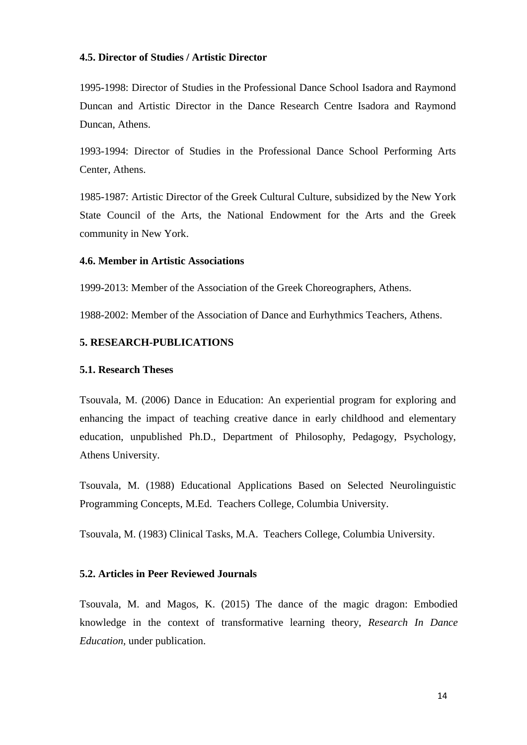## **4.5. Director of Studies / Artistic Director**

1995-1998: Director of Studies in the Professional Dance School Isadora and Raymond Duncan and Artistic Director in the Dance Research Centre Isadora and Raymond Duncan, Athens.

1993-1994: Director of Studies in the Professional Dance School Performing Arts Center, Athens.

1985-1987: Artistic Director of the Greek Cultural Culture, subsidized by the New York State Council of the Arts, the National Endowment for the Arts and the Greek community in New York.

#### **4.6. Member in Artistic Associations**

1999-2013: Member of the Association of the Greek Choreographers, Athens.

1988-2002: Member of the Association of Dance and Eurhythmics Teachers, Athens.

## **5. RESEARCH-PUBLICATIONS**

#### **5.1. Research Theses**

Tsouvala, M. (2006) Dance in Education: An experiential program for exploring and enhancing the impact of teaching creative dance in early childhood and elementary education, unpublished Ph.D., Department of Philosophy, Pedagogy, Psychology, Athens University.

Tsouvala, M. (1988) Educational Applications Based on Selected Neurolinguistic Programming Concepts, M.Ed.Teachers College, Columbia University.

Tsouvala, M. (1983) Clinical Tasks, M.A.Teachers College, Columbia University.

#### **5.2. Articles in Peer Reviewed Journals**

Tsouvala, M. and Magos, K. (2015) The dance of the magic dragon: Embodied knowledge in the context of transformative learning theory, *Research In Dance Education,* under publication.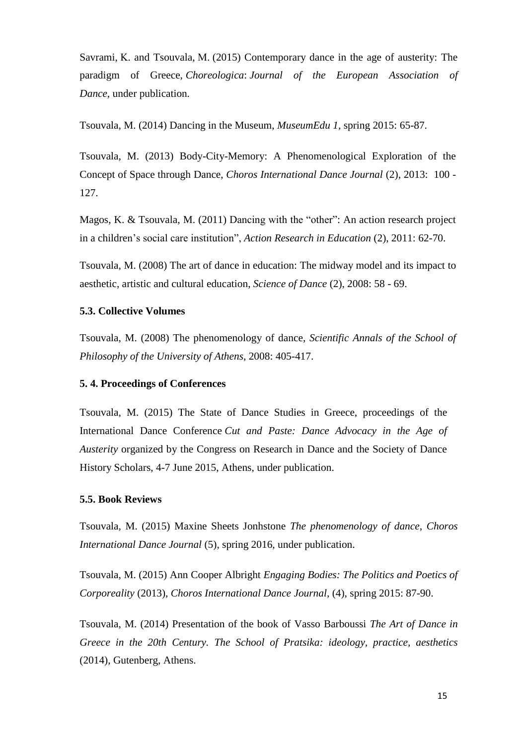Savrami, Κ. and Tsouvala, Μ. (2015) Contemporary dance in the age of austerity: The paradigm of Greece, *Choreologica*: *Journal of the European Association of Dance,* under publication*.*

Tsouvala, M. (2014) Dancing in the Museum, *MuseumEdu 1,* spring 2015: 65-87.

Tsouvala, M. (2013) Body-City-Memory: A Phenomenological Exploration of the Concept of Space through Dance, *Choros International Dance Journal* (2), 2013: 100 - 127.

Magos, K. & Tsouvala, M. (2011) Dancing with the "other": An action research project in a children's social care institution", *Action Research in Education* (2), 2011: 62-70.

Tsouvala, M. (2008) The art of dance in education: The midway model and its impact to aesthetic, artistic and cultural education, *Science of Dance* (2), 2008: 58 - 69.

#### **5.3. Collective Volumes**

Tsouvala, M. (2008) The phenomenology of dance, *Scientific Annals of the School of Philosophy of the University of Athens,* 2008: 405-417.

#### **5. 4. Proceedings of Conferences**

Tsouvala, M. (2015) The State of Dance Studies in Greece, proceedings of the International Dance Conference *Cut and Paste: Dance Advocacy in the Age of Austerity* organized by the Congress on Research in Dance and the Society of Dance History Scholars, 4-7 June 2015, Athens, under publication.

#### **5.5. Book Reviews**

Tsouvala, M. (2015) Maxine Sheets Jonhstone *The phenomenology of dance*, *Choros International Dance Journal* (5), spring 2016, under publication.

Tsouvala, M. (2015) Ann Cooper Albright *Engaging Bodies: The Politics and Poetics of Corporeality* (2013), *Choros International Dance Journal,* (4), spring 2015: 87-90.

Tsouvala, M. (2014) Presentation of the book of Vasso Barboussi *The Art of Dance in Greece in the 20th Century. The School of Pratsika: ideology, practice, aesthetics* (2014), Gutenberg, Athens.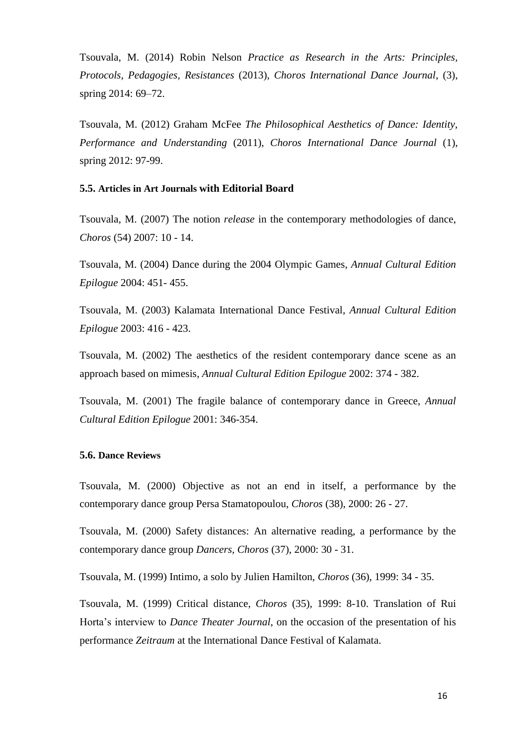Tsouvala, M. (2014) Robin Nelson *Practice as Research in the Arts: Principles, Protocols, Pedagogies, Resistances* (2013), *Choros International Dance Journal*, (3), spring 2014: 69–72.

Tsouvala, M. (2012) Graham McFee *The Philosophical Aesthetics of Dance: Identity, Performance and Understanding* (2011), *Choros International Dance Journal* (1), spring 2012: 97-99.

#### **5.5. Articles in Art Journals with Editorial Board**

Tsouvala, M. (2007) The notion *release* in the contemporary methodologies of dance, *Choros* (54) 2007: 10 - 14.

Tsouvala, M. (2004) Dance during the 2004 Olympic Games, *Annual Cultural Edition Epilogue* 2004: 451- 455.

Tsouvala, M. (2003) Kalamata International Dance Festival, *Annual Cultural Edition Epilogue* 2003: 416 - 423.

Tsouvala, M. (2002) The aesthetics of the resident contemporary dance scene as an approach based on mimesis, *Annual Cultural Edition Epilogue* 2002: 374 - 382.

Tsouvala, M. (2001) The fragile balance of contemporary dance in Greece, *Annual Cultural Edition Epilogue* 2001: 346-354.

#### **5.6. Dance Reviews**

Tsouvala, M. (2000) Objective as not an end in itself, a performance by the contemporary dance group Persa Stamatopoulou, *Choros* (38), 2000: 26 - 27.

Tsouvala, M. (2000) Safety distances: An alternative reading, a performance by the contemporary dance group *Dancers, Choros* (37), 2000: 30 - 31.

Tsouvala, M. (1999) Intimo, a solo by Julien Hamilton, *Choros* (36), 1999: 34 - 35.

Tsouvala, M. (1999) Critical distance, *Choros* (35), 1999: 8-10. Translation of Rui Horta's interview to *Dance Theater Journal,* on the occasion of the presentation of his performance *Zeitraum* at the International Dance Festival of Kalamata.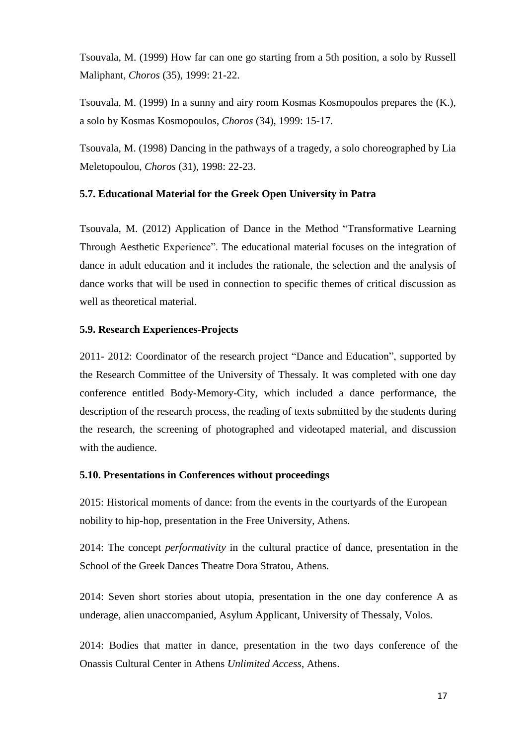Tsouvala, M. (1999) How far can one go starting from a 5th position, a solo by Russell Maliphant, *Choros* (35), 1999: 21-22.

Tsouvala, M. (1999) In a sunny and airy room Kosmas Kosmopoulos prepares the (K.), a solo by Kosmas Kosmopoulos, *Choros* (34), 1999: 15-17.

Tsouvala, M. (1998) Dancing in the pathways of a tragedy, a solo choreographed by Lia Meletopoulou, *Choros* (31), 1998: 22-23.

# **5.7. Educational Material for the Greek Open University in Patra**

Tsouvala, M. (2012) Application of Dance in the Method "Transformative Learning Through Aesthetic Experience". The educational material focuses on the integration of dance in adult education and it includes the rationale, the selection and the analysis of dance works that will be used in connection to specific themes of critical discussion as well as theoretical material.

# **5.9. Research Experiences-Projects**

2011- 2012: Coordinator of the research project "Dance and Education", supported by the Research Committee of the University of Thessaly. It was completed with one day conference entitled Body-Memory-City, which included a dance performance, the description of the research process, the reading of texts submitted by the students during the research, the screening of photographed and videotaped material, and discussion with the audience.

# **5.10. Presentations in Conferences without proceedings**

2015: Historical moments of dance: from the events in the courtyards of the European nobility to hip-hop, presentation in the Free University, Athens.

2014: The concept *performativity* in the cultural practice of dance, presentation in the School of the Greek Dances Theatre Dora Stratou, Athens.

2014: Seven short stories about utopia, presentation in the one day conference A as underage, alien unaccompanied, Asylum Applicant, University of Thessaly, Volos.

2014: Bodies that matter in dance*,* presentation in the two days conference of the Onassis Cultural Center in Athens *Unlimited Access*, Athens.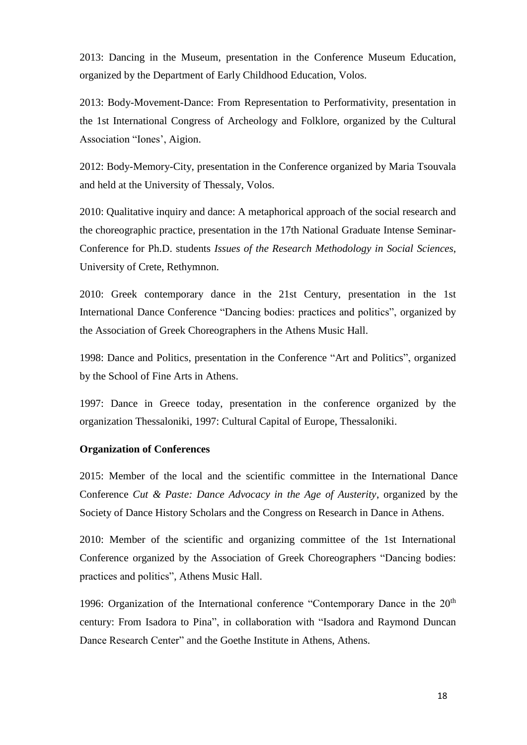2013: Dancing in the Museum, presentation in the Conference Museum Education, organized by the Department of Early Childhood Education, Volos.

2013: Body-Movement-Dance: From Representation to Performativity, presentation in the 1st International Congress of Archeology and Folklore, organized by the Cultural Association "Iones', Aigion.

2012: Body-Memory-City, presentation in the Conference organized by Maria Tsouvala and held at the University of Thessaly, Volos.

2010: Qualitative inquiry and dance: A metaphorical approach of the social research and the choreographic practice, presentation in the 17th National Graduate Intense Seminar-Conference for Ph.D. students *Issues of the Research Methodology in Social Sciences*, University of Crete, Rethymnon.

2010: Greek contemporary dance in the 21st Century, presentation in the 1st International Dance Conference "Dancing bodies: practices and politics", organized by the Association of Greek Choreographers in the Athens Music Hall.

1998: Dance and Politics, presentation in the Conference "Art and Politics", organized by the School of Fine Arts in Athens.

1997: Dance in Greece today, presentation in the conference organized by the organization Thessaloniki, 1997: Cultural Capital of Europe, Thessaloniki.

#### **Organization of Conferences**

2015: Member of the local and the scientific committee in the International Dance Conference *Cut & Paste: Dance Advocacy in the Age of Austerity*, organized by the Society of Dance History Scholars and the Congress on Research in Dance in Athens.

2010: Member of the scientific and organizing committee of the 1st International Conference organized by the Association of Greek Choreographers "Dancing bodies: practices and politics", Athens Music Hall.

1996: Organization of the International conference "Contemporary Dance in the  $20<sup>th</sup>$ century: From Isadora to Pina", in collaboration with "Isadora and Raymond Duncan Dance Research Center" and the Goethe Institute in Athens, Athens.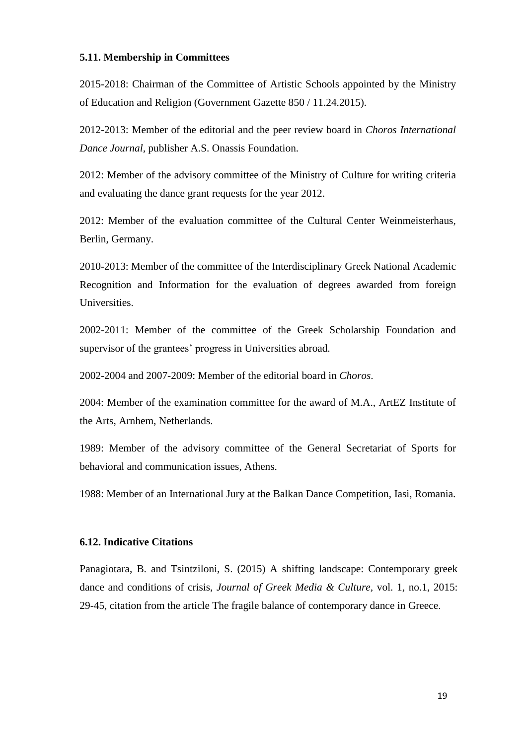#### **5.11. Membership in Committees**

2015-2018: Chairman of the Committee of Artistic Schools appointed by the Ministry of Education and Religion (Government Gazette 850 / 11.24.2015).

2012-2013: Member of the editorial and the peer review board in *Choros International Dance Journal,* publisher A.S. Onassis Foundation*.*

2012: Member of the advisory committee of the Ministry of Culture for writing criteria and evaluating the dance grant requests for the year 2012.

2012: Member of the evaluation committee of the Cultural Center Weinmeisterhaus, Berlin, Germany.

2010-2013: Member of the committee of the Interdisciplinary Greek National Academic Recognition and Information for the evaluation of degrees awarded from foreign Universities.

2002-2011: Member of the committee of the Greek Scholarship Foundation and supervisor of the grantees' progress in Universities abroad.

2002-2004 and 2007-2009: Member of the editorial board in *Choros*.

2004: Member of the examination committee for the award of M.A., ArtEZ Institute of the Arts, Arnhem, Netherlands.

1989: Member of the advisory committee of the General Secretariat of Sports for behavioral and communication issues, Athens.

1988: Member of an International Jury at the Balkan Dance Competition, Iasi, Romania.

## **6.12. Indicative Citations**

Panagiotara, B. and Tsintziloni, S. (2015) A shifting landscape: Contemporary greek dance and conditions of crisis, *Journal of Greek Media & Culture,* vol. 1, no.1, 2015: 29-45, citation from the article The fragile balance of contemporary dance in Greece.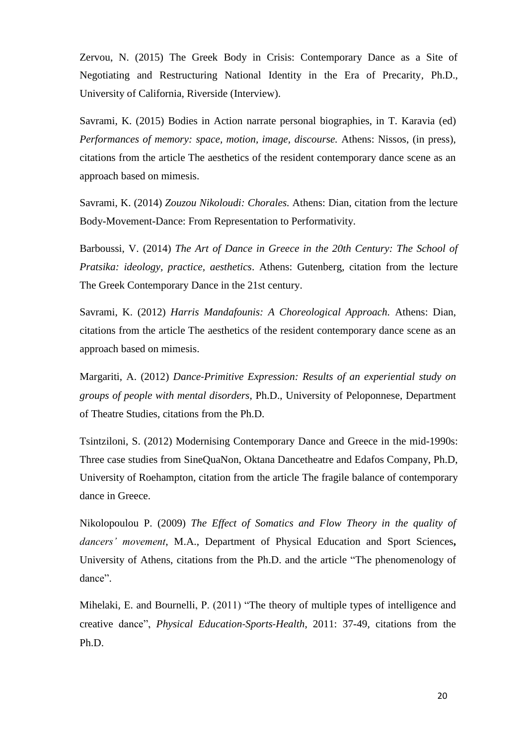Zervou, N. (2015) The Greek Body in Crisis: Contemporary Dance as a Site of Negotiating and Restructuring National Identity in the Era of Precarity*,* Ph.D., University of California, Riverside (Interview).

Savrami, K. (2015) Bodies in Action narrate personal biographies, in T. Karavia (ed) *Performances of memory: space, motion, image, discourse.* Athens: Nissos, (in press), citations from the article The aesthetics of the resident contemporary dance scene as an approach based on mimesis.

Savrami, K. (2014) *Zouzou Nikoloudi: Chorales.* Athens: Dian, citation from the lecture Body-Movement-Dance: From Representation to Performativity.

Barboussi, V. (2014) *The Art of Dance in Greece in the 20th Century: The School of Pratsika: ideology, practice, aesthetics*. Athens: Gutenberg, citation from the lecture The Greek Contemporary Dance in the 21st century.

Savrami, K. (2012) *Harris Mandafounis: A Choreological Approach.* Athens: Dian, citations from the article The aesthetics of the resident contemporary dance scene as an approach based on mimesis.

Margariti, A. (2012) *Dance-Primitive Expression: Results of an experiential study on groups of people with mental disorders*, Ph.D., University of Peloponnese, Department of Theatre Studies, citations from the Ph.D.

Tsintziloni, S. (2012) Modernising Contemporary Dance and Greece in the mid-1990s: Three case studies from SineQuaNon, Oktana Dancetheatre and Edafos Company, Ph.D, University of Roehampton, citation from the article The fragile balance of contemporary dance in Greece.

Nikolopoulou P. (2009) *The Effect of Somatics and Flow Theory in the quality of dancers' movement*, M.A., Department of Physical Education and Sport Sciences**,** University of Athens, citations from the Ph.D. and the article "The phenomenology of dance".

Mihelaki, E. and Bournelli, P. (2011) "The theory of multiple types of intelligence and creative dance", *Physical Education-Sports-Health*, 2011: 37-49, citations from the Ph.D.